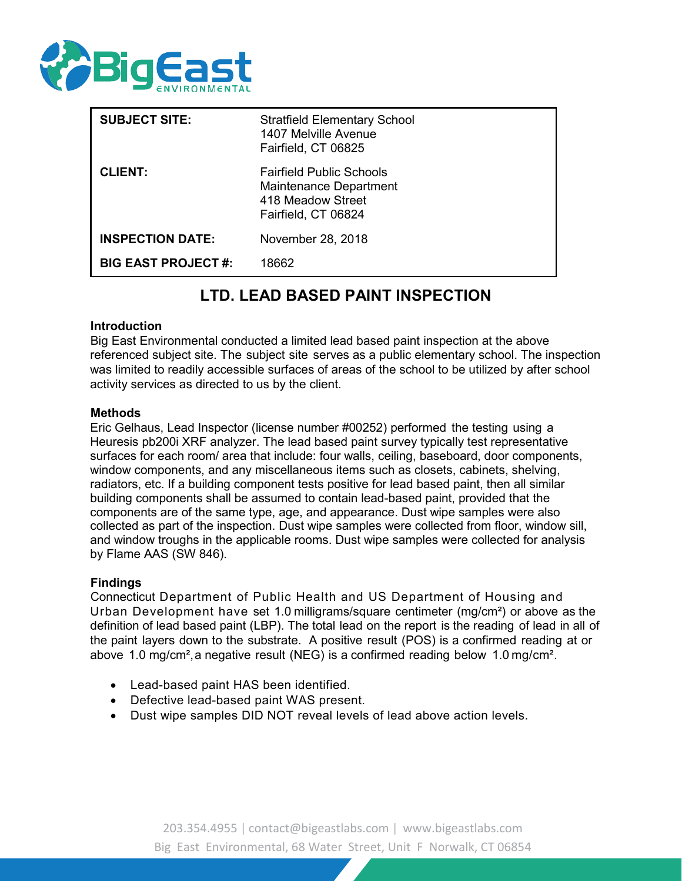

| <b>SUBJECT SITE:</b>       | <b>Stratfield Elementary School</b><br>1407 Melville Avenue<br>Fairfield, CT 06825                           |
|----------------------------|--------------------------------------------------------------------------------------------------------------|
| <b>CLIENT:</b>             | <b>Fairfield Public Schools</b><br><b>Maintenance Department</b><br>418 Meadow Street<br>Fairfield, CT 06824 |
| <b>INSPECTION DATE:</b>    | November 28, 2018                                                                                            |
| <b>BIG EAST PROJECT #:</b> | 18662                                                                                                        |

# **LTD. LEAD BASED PAINT INSPECTION**

#### **Introduction**

Big East Environmental conducted a limited lead based paint inspection at the above referenced subject site. The subject site serves as a public elementary school. The inspection was limited to readily accessible surfaces of areas of the school to be utilized by after school activity services as directed to us by the client.

#### **Methods**

Eric Gelhaus, Lead Inspector (license number #00252) performed the testing using a Heuresis pb200i XRF analyzer. The lead based paint survey typically test representative surfaces for each room/ area that include: four walls, ceiling, baseboard, door components, window components, and any miscellaneous items such as closets, cabinets, shelving, radiators, etc. If a building component tests positive for lead based paint, then all similar building components shall be assumed to contain lead-based paint, provided that the components are of the same type, age, and appearance. Dust wipe samples were also collected as part of the inspection. Dust wipe samples were collected from floor, window sill, and window troughs in the applicable rooms. Dust wipe samples were collected for analysis by Flame AAS (SW 846).

### **Findings**

Connecticut Department of Public Health and US Department of Housing and Urban Development have set 1.0 milligrams/square centimeter (mg/cm²) or above as the definition of lead based paint (LBP). The total lead on the report is the reading of lead in all of the paint layers down to the substrate. A positive result (POS) is a confirmed reading at or above 1.0 mg/cm²,a negative result (NEG) is a confirmed reading below 1.0 mg/cm².

- Lead-based paint HAS been identified.
- Defective lead-based paint WAS present.
- Dust wipe samples DID NOT reveal levels of lead above action levels.

203.354.4955 | [contact@bigeastlabs.com](mailto:contact@bigeastlabs.com) | [www.bigeastlabs.com](http://www.bigeastlabs.com/) Big East Environmental, 68 Water Street, Unit F Norwalk, CT 06854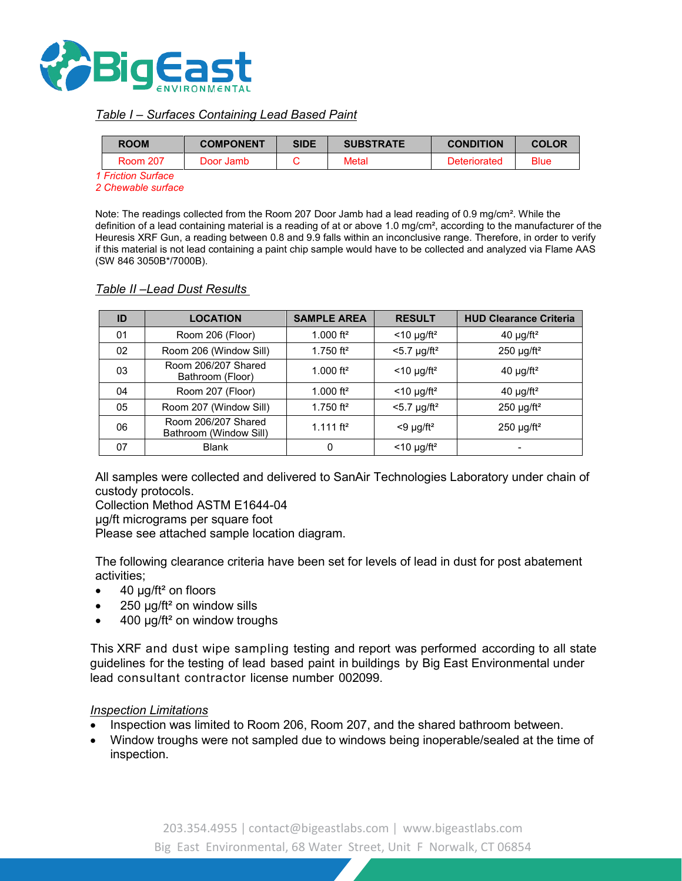

## *Table I – Surfaces Containing Lead Based Paint*

|  | <b>COMPONENT</b><br><b>ROOM</b><br><b>Room 207</b><br>Door Jamb |  | <b>SIDE</b> | <b>SUBSTRATE</b> | <b>CONDITION</b> | <b>COLOR</b> |
|--|-----------------------------------------------------------------|--|-------------|------------------|------------------|--------------|
|  |                                                                 |  | Metal       |                  | Deteriorated     | <b>Blue</b>  |
|  | 1 Friction Surface                                              |  |             |                  |                  |              |

*2 Chewable surface*

Note: The readings collected from the Room 207 Door Jamb had a lead reading of 0.9 mg/cm². While the definition of a lead containing material is a reading of at or above 1.0 mg/cm<sup>2</sup>, according to the manufacturer of the Heuresis XRF Gun, a reading between 0.8 and 9.9 falls within an inconclusive range. Therefore, in order to verify if this material is not lead containing a paint chip sample would have to be collected and analyzed via Flame AAS (SW 846 3050B\*/7000B).

## **ID LOCATION SAMPLE AREA RESULT HUD Clearance Criteria** 01 | Room 206 (Floor) |  $1.000$  ft<sup>2</sup> | <10 µg/ft<sup>2</sup> |  $40$  µg/ft<sup>2</sup> 02 | Room 206 (Window Sill) |  $1.750 \text{ ft}^2$  |  $\leq 5.7 \text{ µg/ft}^2$  |  $\leq 250 \text{ µg/ft}^2$ 03 **Room 206/207 Shared** Bathroom (Floor)  $1.000 \text{ ft}^2$  <10  $\mu$ g/ft<sup>2</sup>  $\left($  40  $\mu$ g/ft<sup>2</sup> 04 Room 207 (Floor)  $\vert$  1.000 ft<sup>2</sup> <10 µg/ft<sup>2</sup> 40 µg/ft<sup>2</sup> 05 Room 207 (Window Sill)  $1.750 \text{ ft}^2$   $\leq 5.7 \text{ µg/ft}^2$  250  $\text{µg/ft}^2$ 06 Room 206/207 Shared Bathroom (Window Sill)  $1.111 \text{ ft}^2$  <9  $\mu$ g/ft<sup>2</sup> 250  $\mu$ g/ft<sup>2</sup> 07 Blank 0 <10 µg/ft² -

### *Table II –Lead Dust Results*

All samples were collected and delivered to SanAir Technologies Laboratory under chain of custody protocols.

Collection Method ASTM E1644-04

µg/ft micrograms per square foot

Please see attached sample location diagram.

The following clearance criteria have been set for levels of lead in dust for post abatement activities;

- 40  $\mu$ g/ft<sup>2</sup> on floors
- $250 \mu g / ft^2$  on window sills
- 400 µg/ft² on window troughs

This XRF and dust wipe sampling testing and report was performed according to all state guidelines for the testing of lead based paint in buildings by Big East Environmental under lead consultant contractor license number 002099.

#### *Inspection Limitations*

- Inspection was limited to Room 206, Room 207, and the shared bathroom between.
- Window troughs were not sampled due to windows being inoperable/sealed at the time of inspection.

203.354.4955 | [contact@bigeastlabs.com](mailto:contact@bigeastlabs.com) | [www.bigeastlabs.com](http://www.bigeastlabs.com/) Big East Environmental, 68 Water Street, Unit F Norwalk, CT 06854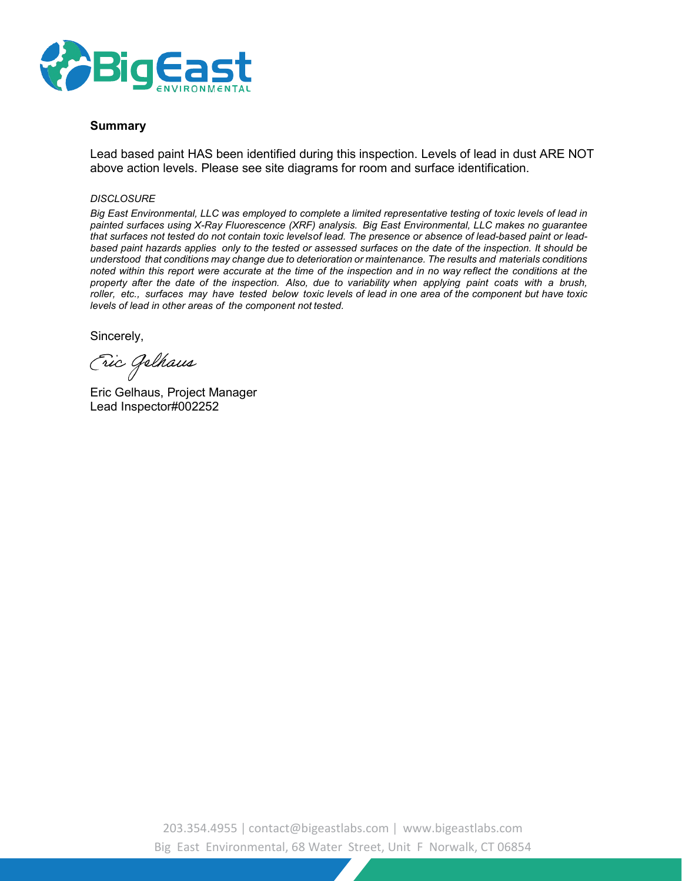

#### **Summary**

Lead based paint HAS been identified during this inspection. Levels of lead in dust ARE NOT above action levels. Please see site diagrams for room and surface identification.

#### *DISCLOSURE*

*Big East Environmental, LLC was employed to complete a limited representative testing of toxic levels of lead in painted surfaces using X-Ray Fluorescence (XRF) analysis. Big East Environmental, LLC makes no guarantee that surfaces not tested do not contain toxic levelsof lead. The presence or absence of lead-based paint or leadbased paint hazards applies only to the tested or assessed surfaces on the date of the inspection. It should be understood that conditions may change due to deterioration or maintenance. The results and materials conditions* noted within this report were accurate at the time of the inspection and in no way reflect the conditions at the *property after the date of the inspection. Also, due to variability when applying paint coats with a brush, roller, etc., surfaces may have tested below toxic levels of lead in one area of the component but have toxic levels of lead in other areas of the component not tested.*

Sincerely,

Eric Gelhaus

Eric Gelhaus, Project Manager Lead Inspector#002252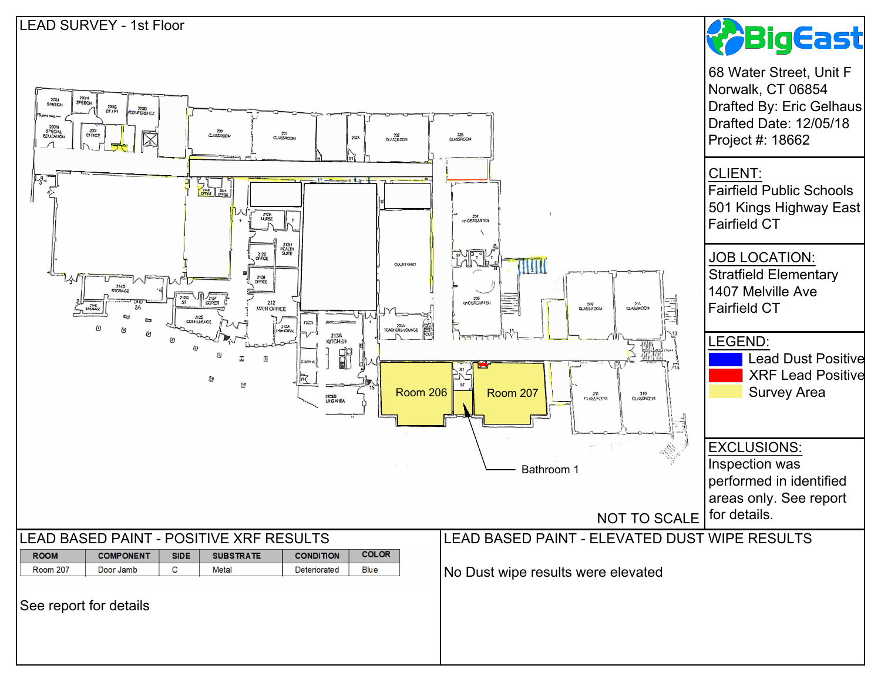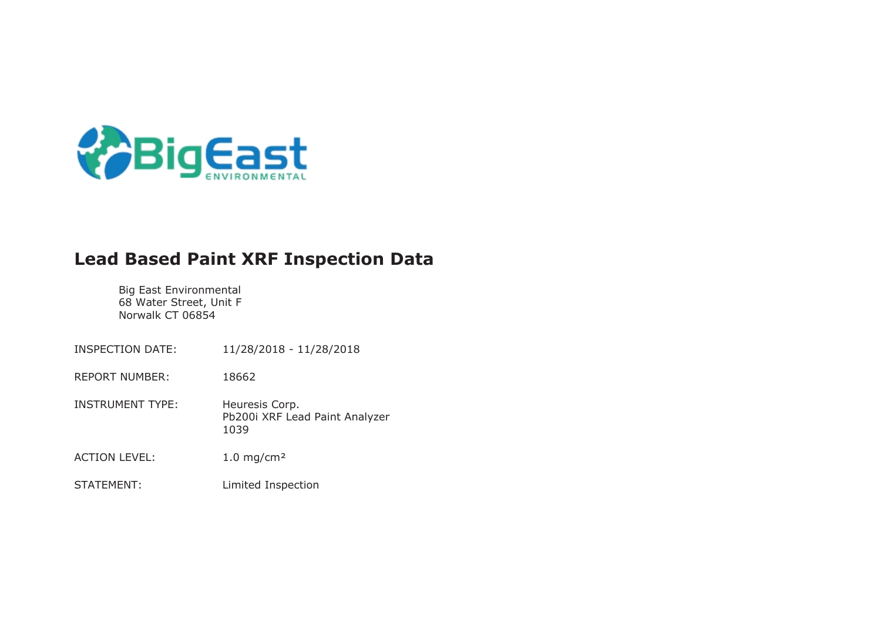

# **Lead Based Paint XRF Inspection Data**

Big East Environmental 68 Water Street, Unit F Norwalk CT 06854

INSPECTION DATE: 11/28/2018 - 11/28/2018 REPORT NUMBER: 18662 INSTRUMENT TYPE: Heuresis Corp. Pb200i XRF Lead Paint Analyzer 1039 ACTION LEVEL: 1.0 mg/cm<sup>2</sup> STATEMENT: Limited Inspection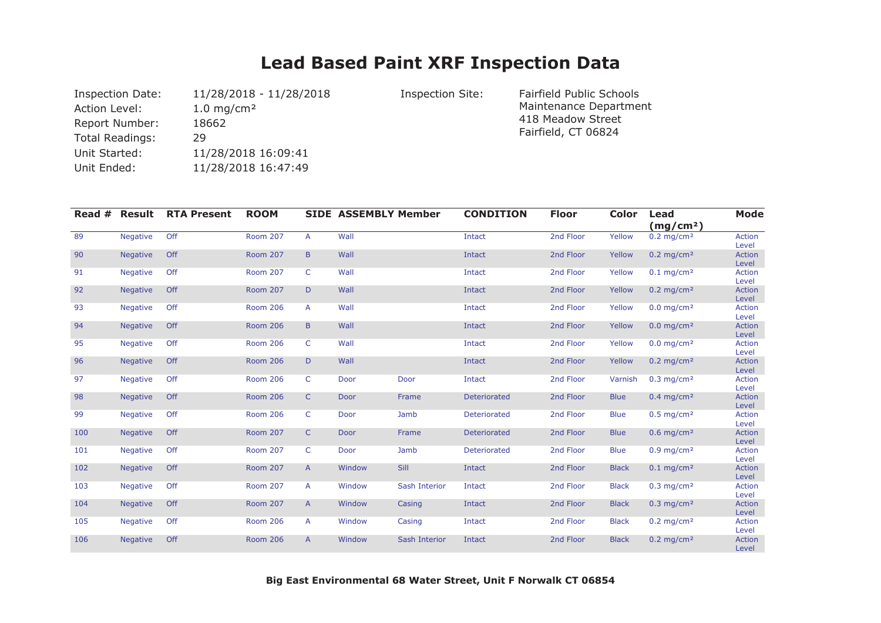# **Lead Based Paint XRF Inspection Data**

| <b>Inspection Date:</b> | 11/28/2018 - 11/28/2018  |
|-------------------------|--------------------------|
| <b>Action Level:</b>    | $1.0$ mg/cm <sup>2</sup> |
| <b>Report Number:</b>   | 18662                    |
| Total Readings:         | 29                       |
| Unit Started:           | 11/28/2018 16:09:41      |
| Unit Ended:             | 11/28/2018 16:47:49      |

Inspection Site: 11/28 - 11/28/2018 - 11/28/2018 - 11/28/2018 - 12/28/2018 Inspection Site: Maintenance Department 418 Meadow Street Fairfield, CT 06824

| Read $#$ | Result          | <b>RTA Present</b> | <b>ROOM</b>     |                | <b>SIDE ASSEMBLY Member</b> |               | <b>CONDITION</b> | <b>Floor</b> | <b>Color</b> | Lead<br>(mg/cm <sup>2</sup> ) | <b>Mode</b>            |
|----------|-----------------|--------------------|-----------------|----------------|-----------------------------|---------------|------------------|--------------|--------------|-------------------------------|------------------------|
| 89       | <b>Negative</b> | Off                | <b>Room 207</b> | A              | Wall                        |               | Intact           | 2nd Floor    | Yellow       | $0.2$ mg/cm <sup>2</sup>      | Action<br>Level        |
| 90       | <b>Negative</b> | Off                | <b>Room 207</b> | $\mathsf B$    | Wall                        |               | Intact           | 2nd Floor    | Yellow       | $0.2$ mg/cm <sup>2</sup>      | <b>Action</b><br>Level |
| 91       | <b>Negative</b> | Off                | <b>Room 207</b> | C              | Wall                        |               | Intact           | 2nd Floor    | Yellow       | $0.1$ mg/cm <sup>2</sup>      | <b>Action</b><br>Level |
| 92       | <b>Negative</b> | Off                | <b>Room 207</b> | D              | Wall                        |               | Intact           | 2nd Floor    | Yellow       | $0.2$ mg/cm <sup>2</sup>      | Action<br>Level        |
| 93       | <b>Negative</b> | Off                | <b>Room 206</b> | A              | Wall                        |               | Intact           | 2nd Floor    | Yellow       | $0.0$ mg/cm <sup>2</sup>      | <b>Action</b><br>Level |
| 94       | <b>Negative</b> | Off                | <b>Room 206</b> | $\mathsf B$    | Wall                        |               | Intact           | 2nd Floor    | Yellow       | $0.0$ mg/cm <sup>2</sup>      | <b>Action</b><br>Level |
| 95       | <b>Negative</b> | Off                | <b>Room 206</b> | C              | Wall                        |               | Intact           | 2nd Floor    | Yellow       | $0.0$ mg/cm <sup>2</sup>      | <b>Action</b><br>Level |
| 96       | <b>Negative</b> | Off                | <b>Room 206</b> | D              | Wall                        |               | Intact           | 2nd Floor    | Yellow       | $0.2$ mg/cm <sup>2</sup>      | <b>Action</b><br>Level |
| 97       | <b>Negative</b> | Off                | <b>Room 206</b> | C              | Door                        | Door          | Intact           | 2nd Floor    | Varnish      | $0.3$ mg/cm <sup>2</sup>      | <b>Action</b><br>Level |
| 98       | <b>Negative</b> | Off                | <b>Room 206</b> | $\mathsf{C}$   | Door                        | Frame         | Deteriorated     | 2nd Floor    | <b>Blue</b>  | $0.4$ mg/cm <sup>2</sup>      | <b>Action</b><br>Level |
| 99       | <b>Negative</b> | Off                | <b>Room 206</b> | C              | Door                        | Jamb          | Deteriorated     | 2nd Floor    | <b>Blue</b>  | $0.5$ mg/cm <sup>2</sup>      | <b>Action</b><br>Level |
| 100      | <b>Negative</b> | Off                | <b>Room 207</b> | $\mathsf{C}$   | Door                        | Frame         | Deteriorated     | 2nd Floor    | <b>Blue</b>  | $0.6$ mg/cm <sup>2</sup>      | <b>Action</b><br>Level |
| 101      | <b>Negative</b> | Off                | <b>Room 207</b> | $\mathsf{C}$   | Door                        | Jamb          | Deteriorated     | 2nd Floor    | <b>Blue</b>  | $0.9$ mg/cm <sup>2</sup>      | <b>Action</b><br>Level |
| 102      | <b>Negative</b> | Off                | <b>Room 207</b> | $\overline{A}$ | Window                      | Sill          | Intact           | 2nd Floor    | <b>Black</b> | $0.1$ mg/cm <sup>2</sup>      | <b>Action</b><br>Level |
| 103      | <b>Negative</b> | Off                | <b>Room 207</b> | A              | Window                      | Sash Interior | Intact           | 2nd Floor    | <b>Black</b> | $0.3$ mg/cm <sup>2</sup>      | <b>Action</b><br>Level |
| 104      | <b>Negative</b> | Off                | <b>Room 207</b> | $\mathsf{A}$   | Window                      | Casing        | Intact           | 2nd Floor    | <b>Black</b> | $0.3$ mg/cm <sup>2</sup>      | <b>Action</b><br>Level |
| 105      | <b>Negative</b> | Off                | <b>Room 206</b> | A              | Window                      | Casing        | Intact           | 2nd Floor    | <b>Black</b> | $0.2$ mg/cm <sup>2</sup>      | Action<br>Level        |
| 106      | <b>Negative</b> | Off                | <b>Room 206</b> | A              | Window                      | Sash Interior | Intact           | 2nd Floor    | <b>Black</b> | $0.2$ mg/cm <sup>2</sup>      | <b>Action</b><br>Level |